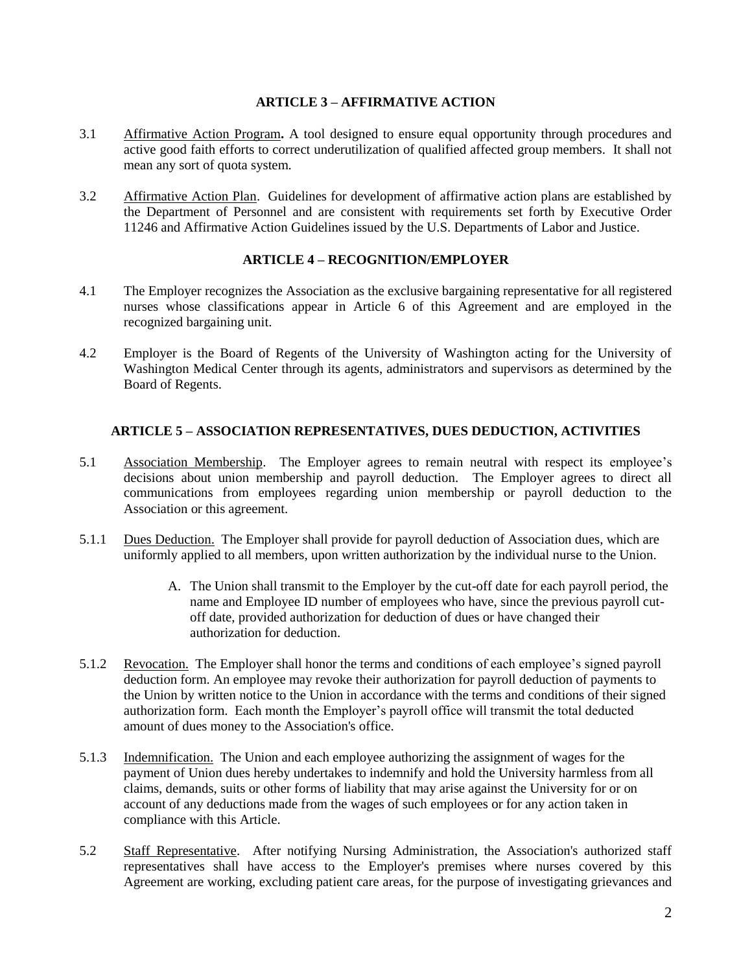## **ARTICLE 3 – AFFIRMATIVE ACTION**

- 3.1 Affirmative Action Program**.** A tool designed to ensure equal opportunity through procedures and active good faith efforts to correct underutilization of qualified affected group members. It shall not mean any sort of quota system.
- 3.2 Affirmative Action Plan. Guidelines for development of affirmative action plans are established by the Department of Personnel and are consistent with requirements set forth by Executive Order 11246 and Affirmative Action Guidelines issued by the U.S. Departments of Labor and Justice.

## **ARTICLE 4 – RECOGNITION/EMPLOYER**

- 4.1 The Employer recognizes the Association as the exclusive bargaining representative for all registered nurses whose classifications appear in Article 6 of this Agreement and are employed in the recognized bargaining unit.
- 4.2 Employer is the Board of Regents of the University of Washington acting for the University of Washington Medical Center through its agents, administrators and supervisors as determined by the Board of Regents.

## **ARTICLE 5 – ASSOCIATION REPRESENTATIVES, DUES DEDUCTION, ACTIVITIES**

- 5.1 Association Membership. The Employer agrees to remain neutral with respect its employee's decisions about union membership and payroll deduction. The Employer agrees to direct all communications from employees regarding union membership or payroll deduction to the Association or this agreement.
- 5.1.1 Dues Deduction. The Employer shall provide for payroll deduction of Association dues, which are uniformly applied to all members, upon written authorization by the individual nurse to the Union.
	- A. The Union shall transmit to the Employer by the cut-off date for each payroll period, the name and Employee ID number of employees who have, since the previous payroll cutoff date, provided authorization for deduction of dues or have changed their authorization for deduction.
- 5.1.2 Revocation. The Employer shall honor the terms and conditions of each employee's signed payroll deduction form. An employee may revoke their authorization for payroll deduction of payments to the Union by written notice to the Union in accordance with the terms and conditions of their signed authorization form. Each month the Employer's payroll office will transmit the total deducted amount of dues money to the Association's office.
- 5.1.3 Indemnification. The Union and each employee authorizing the assignment of wages for the payment of Union dues hereby undertakes to indemnify and hold the University harmless from all claims, demands, suits or other forms of liability that may arise against the University for or on account of any deductions made from the wages of such employees or for any action taken in compliance with this Article.
- 5.2 Staff Representative. After notifying Nursing Administration, the Association's authorized staff representatives shall have access to the Employer's premises where nurses covered by this Agreement are working, excluding patient care areas, for the purpose of investigating grievances and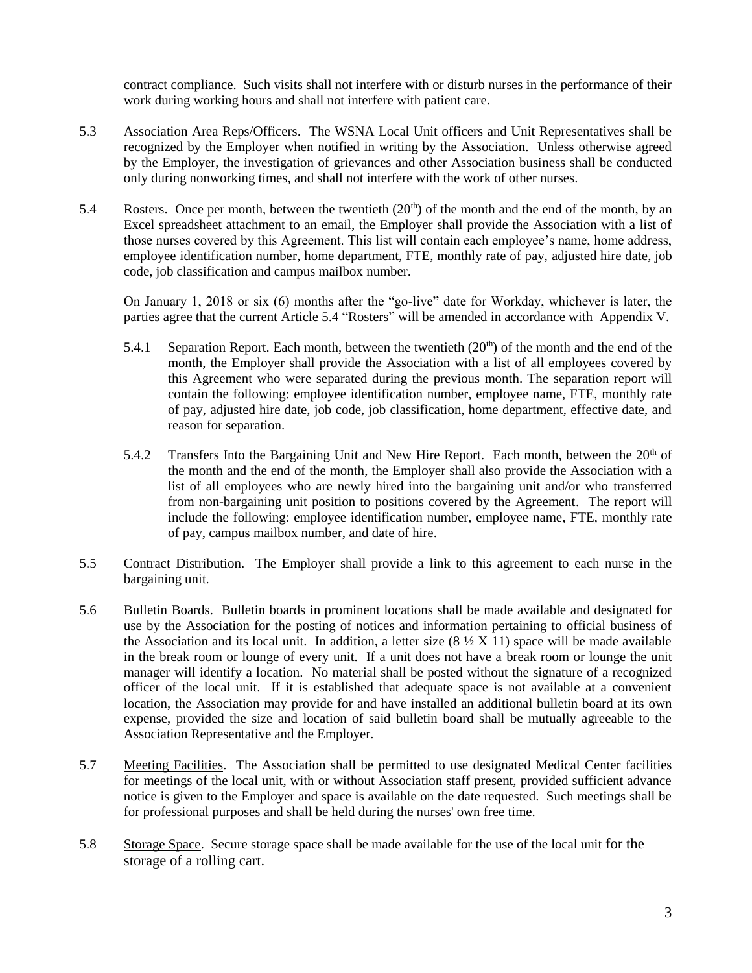contract compliance. Such visits shall not interfere with or disturb nurses in the performance of their work during working hours and shall not interfere with patient care.

- 5.3 Association Area Reps/Officers. The WSNA Local Unit officers and Unit Representatives shall be recognized by the Employer when notified in writing by the Association. Unless otherwise agreed by the Employer, the investigation of grievances and other Association business shall be conducted only during nonworking times, and shall not interfere with the work of other nurses.
- 5.4 Rosters. Once per month, between the twentieth  $(20<sup>th</sup>)$  of the month and the end of the month, by an Excel spreadsheet attachment to an email, the Employer shall provide the Association with a list of those nurses covered by this Agreement. This list will contain each employee's name, home address, employee identification number, home department, FTE, monthly rate of pay, adjusted hire date, job code, job classification and campus mailbox number.

On January 1, 2018 or six (6) months after the "go-live" date for Workday, whichever is later, the parties agree that the current Article 5.4 "Rosters" will be amended in accordance with Appendix V.

- 5.4.1 Separation Report. Each month, between the twentieth  $(20<sup>th</sup>)$  of the month and the end of the month, the Employer shall provide the Association with a list of all employees covered by this Agreement who were separated during the previous month. The separation report will contain the following: employee identification number, employee name, FTE, monthly rate of pay, adjusted hire date, job code, job classification, home department, effective date, and reason for separation.
- 5.4.2 Transfers Into the Bargaining Unit and New Hire Report. Each month, between the  $20<sup>th</sup>$  of the month and the end of the month, the Employer shall also provide the Association with a list of all employees who are newly hired into the bargaining unit and/or who transferred from non-bargaining unit position to positions covered by the Agreement. The report will include the following: employee identification number, employee name, FTE, monthly rate of pay, campus mailbox number, and date of hire.
- 5.5 Contract Distribution. The Employer shall provide a link to this agreement to each nurse in the bargaining unit.
- 5.6 Bulletin Boards. Bulletin boards in prominent locations shall be made available and designated for use by the Association for the posting of notices and information pertaining to official business of the Association and its local unit. In addition, a letter size  $(8 \frac{1}{2} X 11)$  space will be made available in the break room or lounge of every unit. If a unit does not have a break room or lounge the unit manager will identify a location. No material shall be posted without the signature of a recognized officer of the local unit. If it is established that adequate space is not available at a convenient location, the Association may provide for and have installed an additional bulletin board at its own expense, provided the size and location of said bulletin board shall be mutually agreeable to the Association Representative and the Employer.
- 5.7 Meeting Facilities. The Association shall be permitted to use designated Medical Center facilities for meetings of the local unit, with or without Association staff present, provided sufficient advance notice is given to the Employer and space is available on the date requested. Such meetings shall be for professional purposes and shall be held during the nurses' own free time.
- 5.8 Storage Space. Secure storage space shall be made available for the use of the local unit for the storage of a rolling cart.